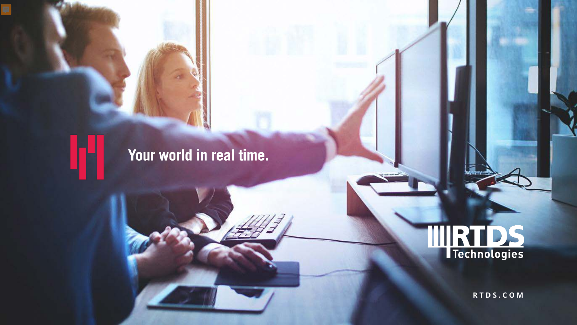### Your world in real time.



**R T D S . C O M**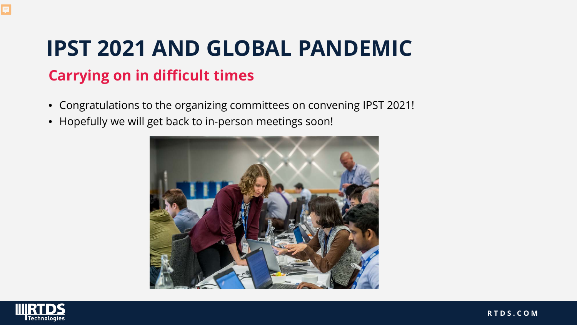## **IPST 2021 AND GLOBAL PANDEMIC Carrying on in difficult times**

- Congratulations to the organizing committees on convening IPST 2021!
- Hopefully we will get back to in-person meetings soon!



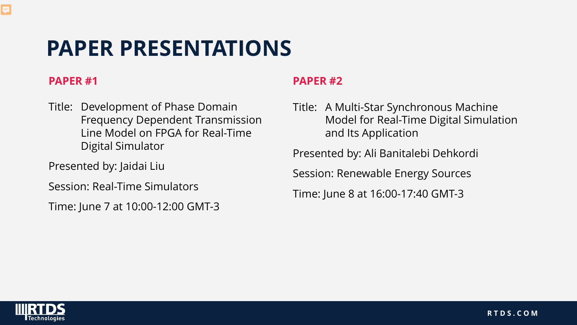## **PAPER PRESENTATIONS**

#### **PAPER #1**

Ę

Title: Development of Phase Domain Frequency Dependent Transmission Line Model on FPGA for Real-Time Digital Simulator

Presented by: Jaidai Liu

Session: Real-Time Simulators

Time: June 7 at 10:00-12:00 GMT-3

#### **PAPER #2**

Title: A Multi-Star Synchronous Machine Model for Real-Time Digital Simulation and Its Application

Presented by: Ali Banitalebi Dehkordi

Session: Renewable Energy Sources

Time: June 8 at 16:00-17:40 GMT-3

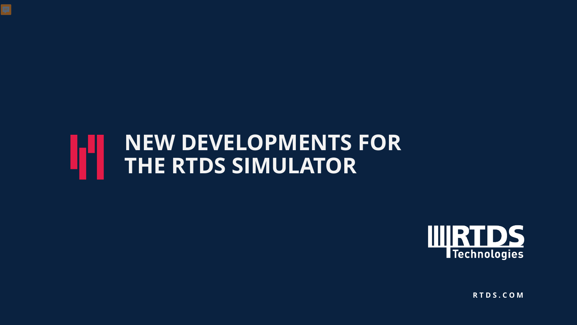### **NEW DEVELOPMENTS FOR THE RTDS SIMULATOR**



**R T D S . C O M**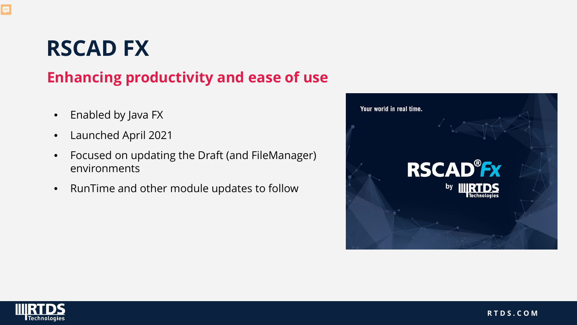## **RSCAD FX**

### **Enhancing productivity and ease of use**

- Enabled by Java FX
- Launched April 2021
- Focused on updating the Draft (and FileManager) environments
- RunTime and other module updates to follow



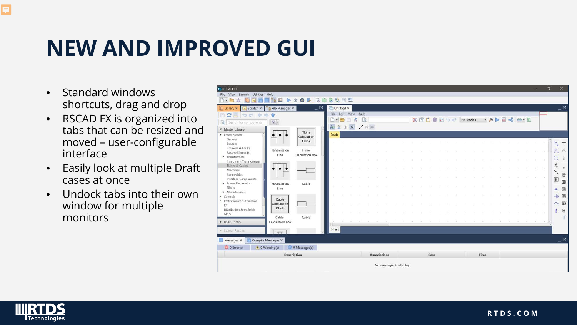## **NEW AND IMPROVED GUI**

- Standard windows shortcuts, drag and drop
- RSCAD FX is organized into tabs that can be resized and moved – user-configurable interface
- Easily look at multiple Draft cases at once
- Undock tabs into their own window for multiple monitors

| <b>B</b> <sup>2</sup> RSCAD FX                                     |                     |     |                      |       |                     |                         |  |  |      |  |                      |      |  |  |                                                     | O    | $\times$                        |
|--------------------------------------------------------------------|---------------------|-----|----------------------|-------|---------------------|-------------------------|--|--|------|--|----------------------|------|--|--|-----------------------------------------------------|------|---------------------------------|
| File View Launch Utilities Help                                    |                     |     |                      |       |                     |                         |  |  |      |  |                      |      |  |  |                                                     |      |                                 |
| $\mathbb{R}$<br>œ<br>$\bullet$<br>曑<br>û<br>Ŕ<br>$9 - $            | G                   | 多国警 |                      |       |                     |                         |  |  |      |  |                      |      |  |  |                                                     |      |                                 |
| $ \mathbb{Z}$<br><b>P</b> File Manager X<br>Scratch X<br>Library X | Untitled X          |     |                      |       |                     |                         |  |  |      |  |                      |      |  |  |                                                     |      | $\mathbb{E} \equiv$             |
| ○四 つぐ 中中令                                                          |                     |     | File Edit View Build |       |                     |                         |  |  |      |  |                      |      |  |  |                                                     |      |                                 |
| $R -$<br>$\mathbf{a}$<br>Search for components                     | $\gamma$ - $\vdash$ | 图   | $\phi^0_{\Phi}$      | - Là  |                     |                         |  |  |      |  | ※ 凹口自己っ c PBS Rack 1 |      |  |  | $\rightarrow A$ $\rightarrow$ $M$ $\rightarrow$ $B$ |      |                                 |
| <b>v</b> Master Library                                            | A 3 3 Q             |     |                      | /1030 |                     |                         |  |  |      |  |                      |      |  |  |                                                     |      |                                 |
| TLine<br>Power System<br>Calculation                               | Draft               |     |                      |       |                     |                         |  |  |      |  |                      |      |  |  |                                                     |      |                                 |
| General<br><b>Block</b><br>Sources                                 |                     |     |                      |       |                     |                         |  |  |      |  |                      |      |  |  |                                                     |      | $\top$                          |
| Breakers & Faults<br>T-line<br>Transmission                        |                     |     |                      |       |                     |                         |  |  |      |  |                      |      |  |  |                                                     |      | 'n<br>$\curvearrowleft$         |
| Passive Elements<br>Calculation Box<br>Line<br>Fransformers        |                     |     |                      |       |                     |                         |  |  |      |  |                      |      |  |  |                                                     |      |                                 |
| Instrument Transformers                                            |                     |     |                      |       |                     |                         |  |  |      |  |                      |      |  |  |                                                     |      | $\mathfrak{D}$<br>τ             |
| TLines & Cables<br>Machines                                        |                     |     |                      |       |                     |                         |  |  |      |  |                      |      |  |  |                                                     |      | 众<br>$\circ$                    |
| Renewables                                                         |                     |     |                      |       |                     |                         |  |  |      |  |                      |      |  |  |                                                     |      | $\zeta$<br>$\overline{\bullet}$ |
| Interface Components<br>Power Electronics<br>Cable                 |                     |     |                      |       |                     |                         |  |  |      |  |                      |      |  |  |                                                     |      | $\boxed{\textbf{H}}$<br>冊       |
| Transmission<br>Filters<br>Line                                    |                     |     |                      |       |                     |                         |  |  |      |  |                      |      |  |  |                                                     |      | $\circledcirc$<br>÷             |
| • Miscellaneous                                                    |                     |     |                      |       |                     |                         |  |  |      |  |                      |      |  |  |                                                     | COL. | $-10$<br>◎                      |
| $\blacktriangleright$ Controls<br>Cable<br>Protection & Automation |                     |     |                      |       |                     |                         |  |  |      |  |                      |      |  |  |                                                     |      |                                 |
| Calculation<br>10<br><b>Block</b>                                  |                     |     |                      |       |                     |                         |  |  |      |  |                      |      |  |  |                                                     |      | 冊<br>h,                         |
| Distribution Stretchable<br>GPES                                   |                     |     |                      |       |                     |                         |  |  |      |  |                      |      |  |  |                                                     |      | $\overline{\mathbf{e}}$         |
| Cable<br>Cable<br><b>Calculation Box</b>                           |                     |     |                      |       |                     |                         |  |  |      |  |                      |      |  |  |                                                     |      | т                               |
| D User Library                                                     |                     |     |                      |       |                     |                         |  |  |      |  |                      |      |  |  |                                                     |      |                                 |
| <b>E</b> Search Results<br>T                                       | SS#1                |     |                      |       |                     |                         |  |  |      |  |                      |      |  |  |                                                     |      |                                 |
| Compile Messages X<br>Messages X                                   |                     |     |                      |       |                     |                         |  |  |      |  |                      |      |  |  |                                                     |      | $= \boxtimes$                   |
| O D Error(s)<br>O 0 Messages(s)<br>1 0 Warning(s)                  |                     |     |                      |       |                     |                         |  |  |      |  |                      |      |  |  |                                                     |      |                                 |
| Description                                                        |                     |     |                      |       | <b>Associations</b> |                         |  |  | Case |  |                      | Time |  |  |                                                     |      |                                 |
|                                                                    |                     |     |                      |       |                     | No messages to display. |  |  |      |  |                      |      |  |  |                                                     |      |                                 |

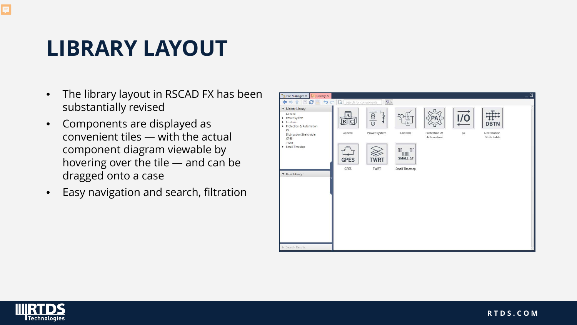## **LIBRARY LAYOUT**

- The library layout in RSCAD FX has been substantially revised
- Components are displayed as convenient tiles — with the actual component diagram viewable by hovering over the tile — and can be dragged onto a case
- Easy navigation and search, filtration



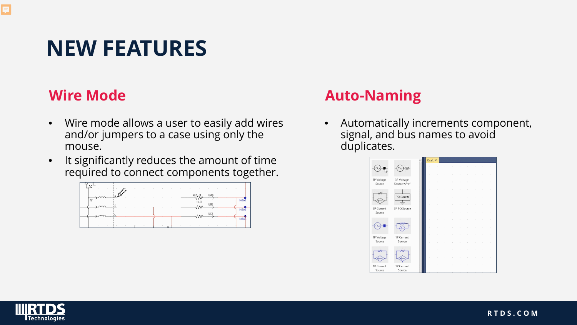## **NEW FEATURES**

#### **Wire Mode**

- Wire mode allows a user to easily add wires and/or jumpers to a case using only the mouse.
- It significantly reduces the amount of time required to connect components together.



#### **Auto-Naming**

• Automatically increments component, signal, and bus names to avoid duplicates.



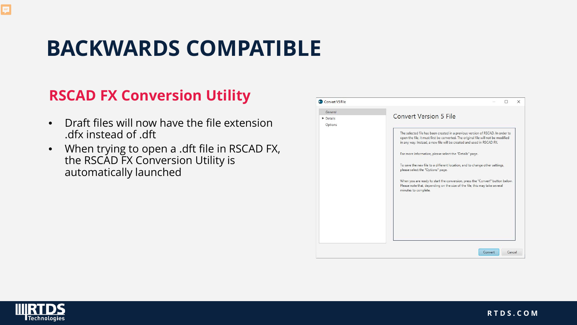## **BACKWARDS COMPATIBLE**

#### **RSCAD FX Conversion Utility**

- Draft files will now have the file extension .dfx instead of .dft
- When trying to open a .dft file in RSCAD FX, the RSCAD FX Conversion Utility is automatically launched

| General<br>Details | <b>Convert Version 5 File</b>                                                                                                                                                                                                                                                                                                                                                                                                                                                                                                                                                                                      |
|--------------------|--------------------------------------------------------------------------------------------------------------------------------------------------------------------------------------------------------------------------------------------------------------------------------------------------------------------------------------------------------------------------------------------------------------------------------------------------------------------------------------------------------------------------------------------------------------------------------------------------------------------|
| Options            | The selected file has been created in a previous version of RSCAD. In order to<br>open the file, it must first be converted. The original file will not be modified<br>in any way. Instead, a new file will be created and used in RSCAD FX.<br>For more information, please select the "Details" page.<br>To save the new file to a different location, and to change other settings,<br>please select the "Options" page.<br>When you are ready to start the conversion, press the "Convert" button below.<br>Please note that, depending on the size of the file, this may take several<br>minutes to complete. |

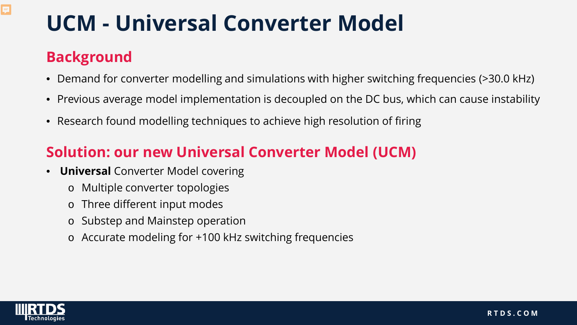### **Background**

 $\overline{\mathbf{E}}$ 

- Demand for converter modelling and simulations with higher switching frequencies (>30.0 kHz)
- Previous average model implementation is decoupled on the DC bus, which can cause instability
- Research found modelling techniques to achieve high resolution of firing

### **Solution: our new Universal Converter Model (UCM)**

- **Universal** Converter Model covering
	- o Multiple converter topologies
	- o Three different input modes
	- o Substep and Mainstep operation
	- o Accurate modeling for +100 kHz switching frequencies

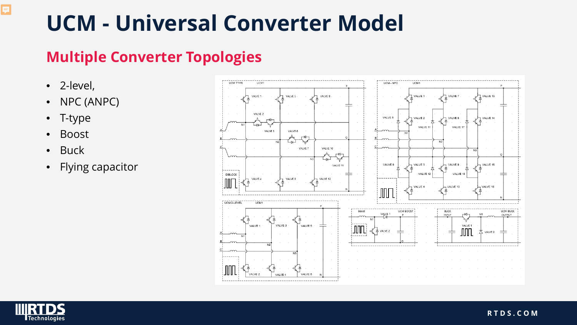#### **Multiple Converter Topologies**

• 2-level,

- NPC (ANPC)
- T-type
- Boost
- Buck
- Flying capacitor



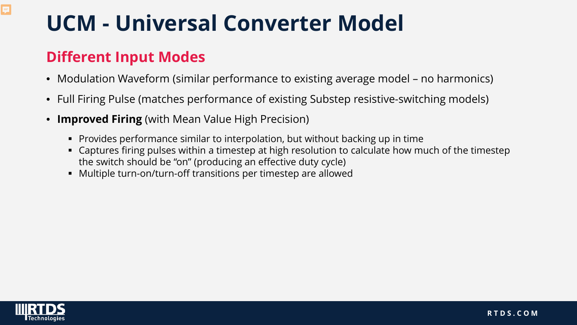### **Different Input Modes**

- Modulation Waveform (similar performance to existing average model no harmonics)
- Full Firing Pulse (matches performance of existing Substep resistive-switching models)
- **Improved Firing** (with Mean Value High Precision)
	- Provides performance similar to interpolation, but without backing up in time
	- Captures firing pulses within a timestep at high resolution to calculate how much of the timestep the switch should be "on" (producing an effective duty cycle)
	- Multiple turn-on/turn-off transitions per timestep are allowed

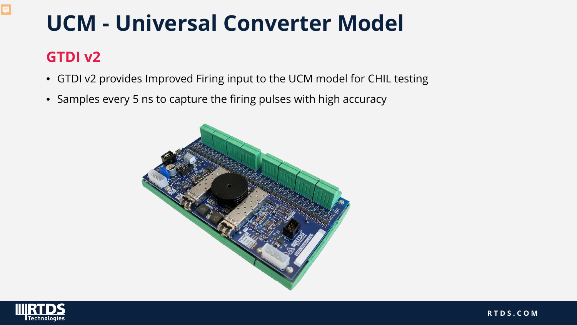### **GTDI v2**

- GTDI v2 provides Improved Firing input to the UCM model for CHIL testing
- Samples every 5 ns to capture the firing pulses with high accuracy



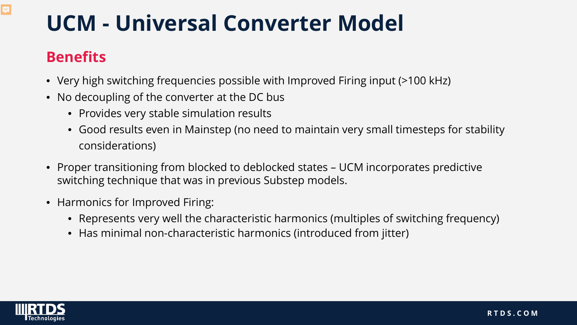### **Benefits**

- Very high switching frequencies possible with Improved Firing input (>100 kHz)
- No decoupling of the converter at the DC bus
	- Provides very stable simulation results
	- Good results even in Mainstep (no need to maintain very small timesteps for stability considerations)
- Proper transitioning from blocked to deblocked states UCM incorporates predictive switching technique that was in previous Substep models.
- Harmonics for Improved Firing:
	- Represents very well the characteristic harmonics (multiples of switching frequency)
	- Has minimal non-characteristic harmonics (introduced from jitter)

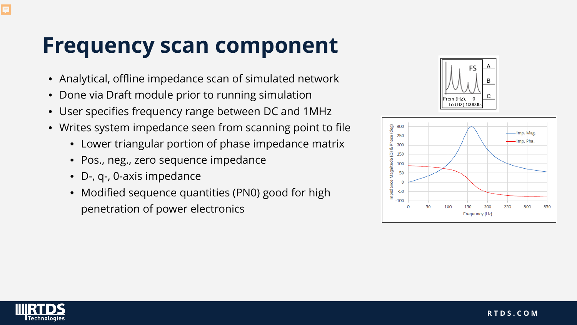## **Frequency scan component**

- Analytical, offline impedance scan of simulated network
- Done via Draft module prior to running simulation
- User specifies frequency range between DC and 1MHz
- Writes system impedance seen from scanning point to file
	- Lower triangular portion of phase impedance matrix
	- Pos., neg., zero sequence impedance
	- D-, q-, 0-axis impedance
	- Modified sequence quantities (PN0) good for high penetration of power electronics





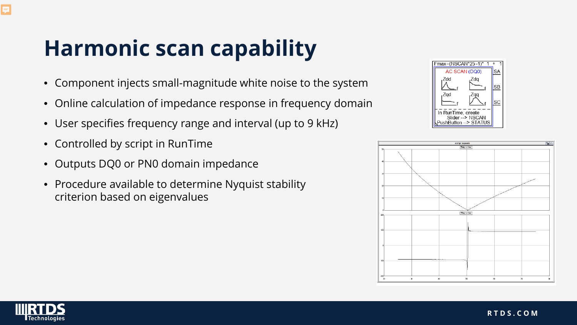# **Harmonic scan capability**

- Component injects small-magnitude white noise to the system
- Online calculation of impedance response in frequency domain
- User specifies frequency range and interval (up to 9 kHz)
- Controlled by script in RunTime
- Outputs DQ0 or PN0 domain impedance
- Procedure available to determine Nyquist stability criterion based on eigenvalues





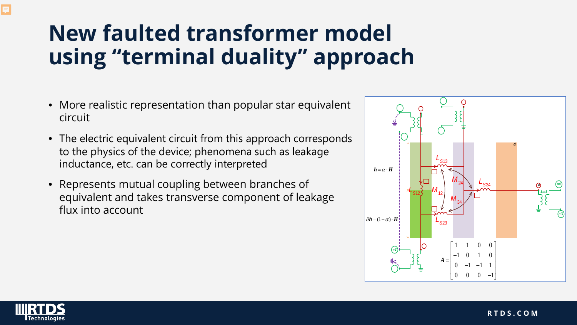## **New faulted transformer model using "terminal duality" approach**

- More realistic representation than popular star equivalent circuit
- The electric equivalent circuit from this approach corresponds to the physics of the device; phenomena such as leakage inductance, etc. can be correctly interpreted
- Represents mutual coupling between branches of equivalent and takes transverse component of leakage flux into account



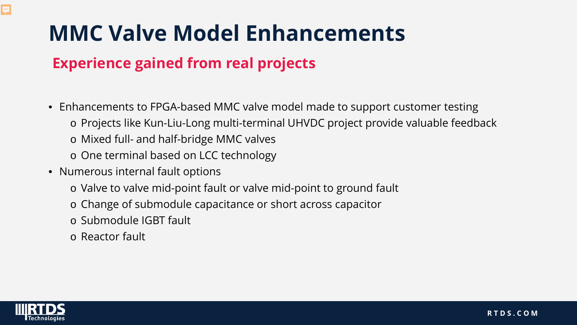## **MMC Valve Model Enhancements**

### **Experience gained from real projects**

- Enhancements to FPGA-based MMC valve model made to support customer testing
	- o Projects like Kun-Liu-Long multi-terminal UHVDC project provide valuable feedback
	- o Mixed full- and half-bridge MMC valves
	- o One terminal based on LCC technology
- Numerous internal fault options
	- o Valve to valve mid-point fault or valve mid-point to ground fault
	- o Change of submodule capacitance or short across capacitor
	- o Submodule IGBT fault
	- o Reactor fault

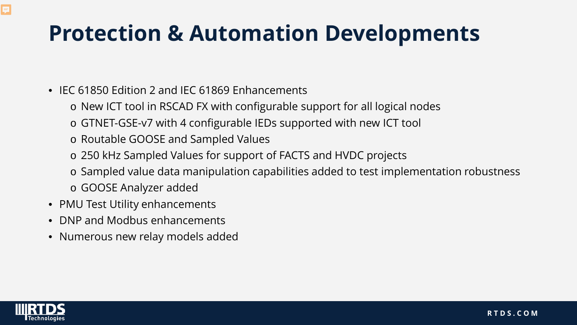## **Protection & Automation Developments**

- IEC 61850 Edition 2 and IEC 61869 Enhancements
	- o New ICT tool in RSCAD FX with configurable support for all logical nodes
	- o GTNET-GSE-v7 with 4 configurable IEDs supported with new ICT tool
	- o Routable GOOSE and Sampled Values
	- o 250 kHz Sampled Values for support of FACTS and HVDC projects
	- o Sampled value data manipulation capabilities added to test implementation robustness
	- o GOOSE Analyzer added
- PMU Test Utility enhancements
- DNP and Modbus enhancements
- Numerous new relay models added

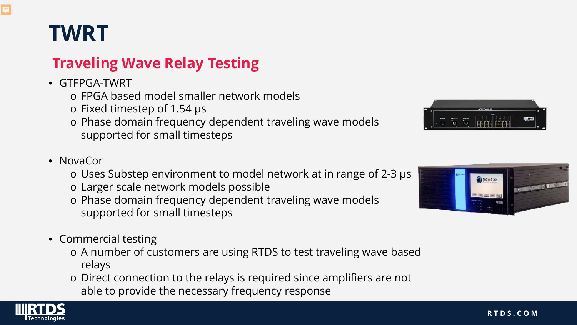## **TWRT**

Ę

### **Traveling Wave Relay Testing**

- GTFPGA-TWRT
	- o FPGA based model smaller network models
	- o Fixed timestep of 1.54 µs
	- o Phase domain frequency dependent traveling wave models supported for small timesteps

#### • NovaCor

- o Uses Substep environment to model network at in range of 2-3 µs
- o Larger scale network models possible
- o Phase domain frequency dependent traveling wave models supported for small timesteps
- Commercial testing
	- o A number of customers are using RTDS to test traveling wave based relays
	- o Direct connection to the relays is required since amplifiers are not able to provide the necessary frequency response





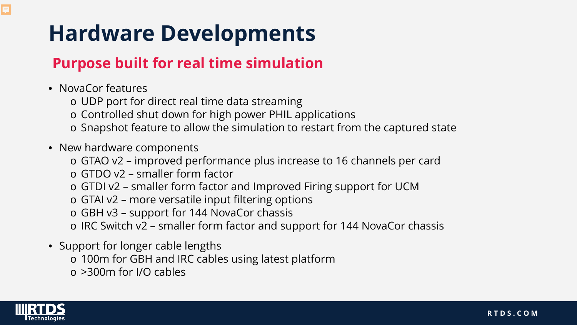## **Hardware Developments**

#### **Purpose built for real time simulation**

- NovaCor features
	- o UDP port for direct real time data streaming
	- o Controlled shut down for high power PHIL applications
	- o Snapshot feature to allow the simulation to restart from the captured state
- New hardware components
	- o GTAO v2 improved performance plus increase to 16 channels per card
	- o GTDO v2 smaller form factor
	- o GTDI v2 smaller form factor and Improved Firing support for UCM
	- o GTAI v2 more versatile input filtering options
	- o GBH v3 support for 144 NovaCor chassis
	- o IRC Switch v2 smaller form factor and support for 144 NovaCor chassis
- Support for longer cable lengths
	- o 100m for GBH and IRC cables using latest platform
	- o >300m for I/O cables

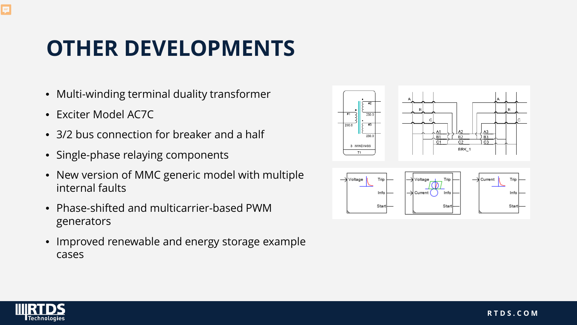## **OTHER DEVELOPMENTS**

- Multi-winding terminal duality transformer
- Exciter Model AC7C
- 3/2 bus connection for breaker and a half
- Single-phase relaying components
- New version of MMC generic model with multiple internal faults
- Phase-shifted and multicarrier-based PWM generators
- Improved renewable and energy storage example cases





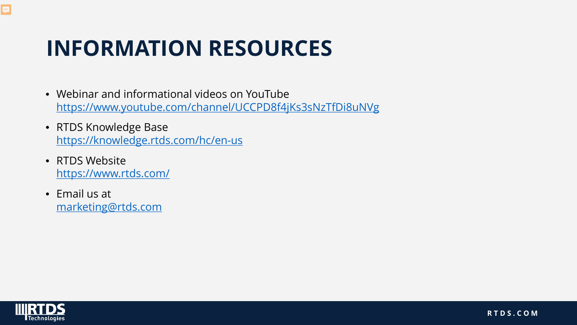## **INFORMATION RESOURCES**

- Webinar and informational videos on YouTube <https://www.youtube.com/channel/UCCPD8f4jKs3sNzTfDi8uNVg>
- RTDS Knowledge Base <https://knowledge.rtds.com/hc/en-us>
- RTDS Website <https://www.rtds.com/>
- Email us at [marketing@rtds.com](mailto:marketing@rtds.com)